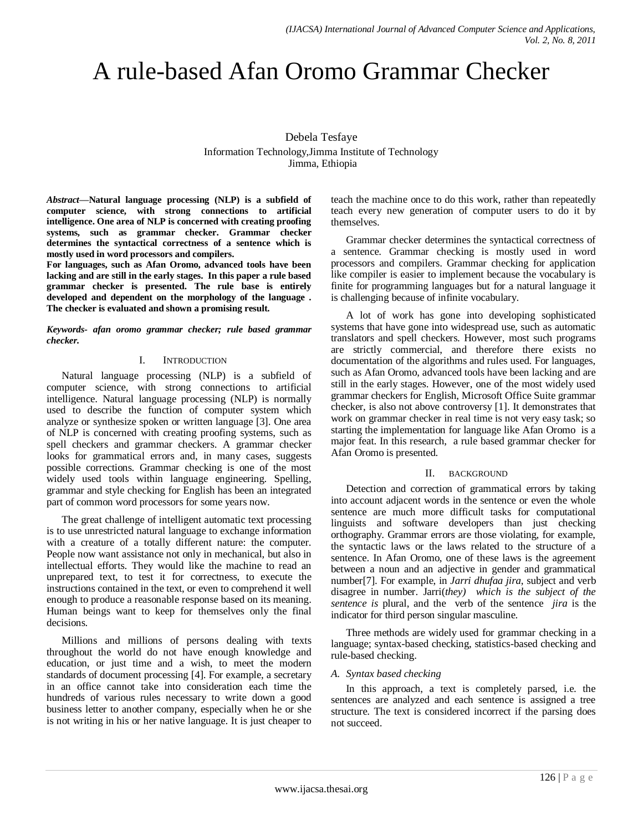# A rule-based Afan Oromo Grammar Checker

Debela Tesfaye Information Technology,Jimma Institute of Technology Jimma, Ethiopia

*Abstract***—Natural language processing (NLP) is a subfield of computer science, with strong connections to artificial intelligence. One area of NLP is concerned with creating proofing systems, such as grammar checker. Grammar checker determines the syntactical correctness of a sentence which is mostly used in word processors and compilers.**

**For languages, such as Afan Oromo, advanced tools have been lacking and are still in the early stages. In this paper a rule based grammar checker is presented. The rule base is entirely developed and dependent on the morphology of the language . The checker is evaluated and shown a promising result.** 

*Keywords- afan oromo grammar checker; rule based grammar checker.*

### I. INTRODUCTION

Natural language processing (NLP) is a subfield of computer science, with strong connections to artificial intelligence. Natural language processing (NLP) is normally used to describe the function of computer system which analyze or synthesize spoken or written language [3]. One area of NLP is concerned with creating proofing systems, such as spell checkers and grammar checkers. A grammar checker looks for grammatical errors and, in many cases, suggests possible corrections. Grammar checking is one of the most widely used tools within language engineering. Spelling, grammar and style checking for English has been an integrated part of common word processors for some years now.

The great challenge of intelligent automatic text processing is to use unrestricted natural language to exchange information with a creature of a totally different nature: the computer. People now want assistance not only in mechanical, but also in intellectual efforts. They would like the machine to read an unprepared text, to test it for correctness, to execute the instructions contained in the text, or even to comprehend it well enough to produce a reasonable response based on its meaning. Human beings want to keep for themselves only the final decisions.

Millions and millions of persons dealing with texts throughout the world do not have enough knowledge and education, or just time and a wish, to meet the modern standards of document processing [4]. For example, a secretary in an office cannot take into consideration each time the hundreds of various rules necessary to write down a good business letter to another company, especially when he or she is not writing in his or her native language. It is just cheaper to

teach the machine once to do this work, rather than repeatedly teach every new generation of computer users to do it by themselves.

Grammar checker determines the syntactical correctness of a sentence. Grammar checking is mostly used in word processors and compilers. Grammar checking for application like compiler is easier to implement because the vocabulary is finite for programming languages but for a natural language it is challenging because of infinite vocabulary.

A lot of work has gone into developing sophisticated systems that have gone into widespread use, such as automatic translators and spell checkers. However, most such programs are strictly commercial, and therefore there exists no documentation of the algorithms and rules used. For languages, such as Afan Oromo, advanced tools have been lacking and are still in the early stages. However, one of the most widely used grammar checkers for English, Microsoft Office Suite grammar checker, is also not above controversy [1]. It demonstrates that work on grammar checker in real time is not very easy task; so starting the implementation for language like Afan Oromo is a major feat. In this research, a rule based grammar checker for Afan Oromo is presented.

#### II. BACKGROUND

Detection and correction of grammatical errors by taking into account adjacent words in the sentence or even the whole sentence are much more difficult tasks for computational linguists and software developers than just checking orthography. Grammar errors are those violating, for example, the syntactic laws or the laws related to the structure of a sentence. In Afan Oromo, one of these laws is the agreement between a noun and an adjective in gender and grammatical number[7]. For example, in *Jarri dhufaa jira*, subject and verb disagree in number. Jarri(*they) which is the subject of the sentence is* plural, and the verb of the sentence *jira* is the indicator for third person singular masculine.

Three methods are widely used for grammar checking in a language; syntax-based checking, statistics-based checking and rule-based checking.

# *A. Syntax based checking*

In this approach, a text is completely parsed, i.e. the sentences are analyzed and each sentence is assigned a tree structure. The text is considered incorrect if the parsing does not succeed.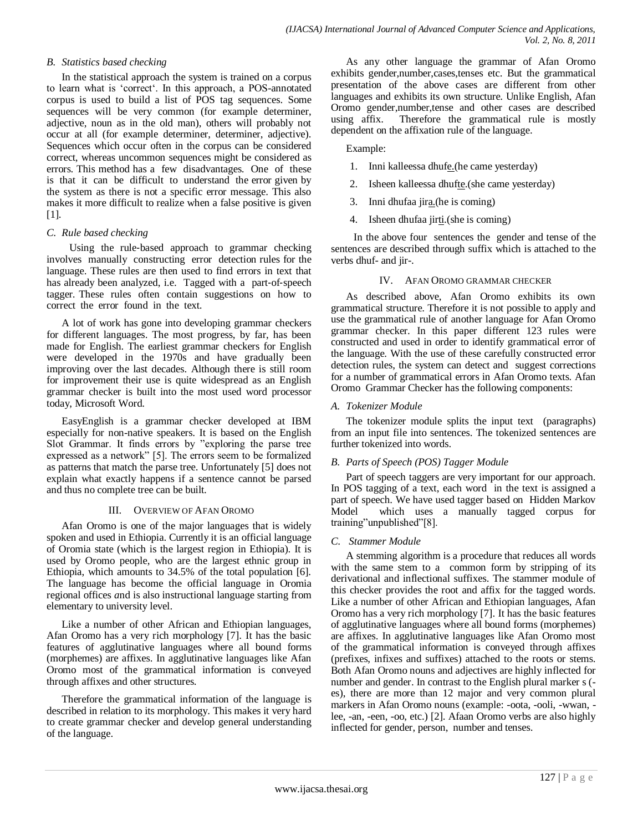## *B. Statistics based checking*

In the statistical approach the system is trained on a corpus to learn what is "correct". In this approach, a POS-annotated corpus is used to build a list of POS tag sequences. Some sequences will be very common (for example determiner, adjective, noun as in the old man), others will probably not occur at all (for example determiner, determiner, adjective). Sequences which occur often in the corpus can be considered correct, whereas uncommon sequences might be considered as errors. This method has a few disadvantages. One of these is that it can be difficult to understand the error given by the system as there is not a specific error message. This also makes it more difficult to realize when a false positive is given [1].

### *C. Rule based checking*

 Using the rule‐based approach to grammar checking involves manually constructing error detection rules for the language. These rules are then used to find errors in text that has already been analyzed, i.e. Tagged with a part-of-speech tagger. These rules often contain suggestions on how to correct the error found in the text.

A lot of work has gone into developing grammar checkers for different languages. The most progress, by far, has been made for English. The earliest grammar checkers for English were developed in the 1970s and have gradually been improving over the last decades. Although there is still room for improvement their use is quite widespread as an English grammar checker is built into the most used word processor today, Microsoft Word.

EasyEnglish is a grammar checker developed at IBM especially for non-native speakers. It is based on the English Slot Grammar. It finds errors by "exploring the parse tree expressed as a network" [5]. The errors seem to be formalized as patterns that match the parse tree. Unfortunately [5] does not explain what exactly happens if a sentence cannot be parsed and thus no complete tree can be built.

#### III. OVERVIEW OF AFAN OROMO

Afan Oromo is one of the major languages that is widely spoken and used in Ethiopia. Currently it is an official language of Oromia state (which is the largest region in Ethiopia). It is used by Oromo people, who are the largest ethnic group in Ethiopia, which amounts to 34.5% of the total population [6]. The language has become the official language in Oromia regional offices *a*nd is also instructional language starting from elementary to university level.

Like a number of other African and Ethiopian languages, Afan Oromo has a very rich morphology [7]. It has the basic features of agglutinative languages where all bound forms (morphemes) are affixes. In agglutinative languages like Afan Oromo most of the grammatical information is conveyed through affixes and other structures.

Therefore the grammatical information of the language is described in relation to its morphology. This makes it very hard to create grammar checker and develop general understanding of the language.

As any other language the grammar of Afan Oromo exhibits gender,number,cases,tenses etc. But the grammatical presentation of the above cases are different from other languages and exhibits its own structure. Unlike English, Afan Oromo gender,number,tense and other cases are described using affix. Therefore the grammatical rule is mostly dependent on the affixation rule of the language.

### Example:

- 1. Inni kalleessa dhufe.(he came yesterday)
- 2. Isheen kalleessa dhufte.(she came yesterday)
- 3. Inni dhufaa jira.(he is coming)
- 4. Isheen dhufaa jirti.(she is coming)

 In the above four sentences the gender and tense of the sentences are described through suffix which is attached to the verbs dhuf- and jir-.

### IV. AFAN OROMO GRAMMAR CHECKER

As described above, Afan Oromo exhibits its own grammatical structure. Therefore it is not possible to apply and use the grammatical rule of another language for Afan Oromo grammar checker. In this paper different 123 rules were constructed and used in order to identify grammatical error of the language. With the use of these carefully constructed error detection rules, the system can detect and suggest corrections for a number of grammatical errors in Afan Oromo texts. Afan Oromo Grammar Checker has the following components:

### *A. Tokenizer Module*

The tokenizer module splits the input text (paragraphs) from an input file into sentences. The tokenized sentences are further tokenized into words.

# *B. Parts of Speech (POS) Tagger Module*

Part of speech taggers are very important for our approach. In POS tagging of a text, each word in the text is assigned a part of speech. We have used tagger based on Hidden Markov Model which uses a manually tagged corpus for training"unpublished"[8].

#### *C. Stammer Module*

A stemming algorithm is a procedure that reduces all words with the same stem to a common form by stripping of its derivational and inflectional suffixes. The stammer module of this checker provides the root and affix for the tagged words. Like a number of other African and Ethiopian languages, Afan Oromo has a very rich morphology [7]. It has the basic features of agglutinative languages where all bound forms (morphemes) are affixes. In agglutinative languages like Afan Oromo most of the grammatical information is conveyed through affixes (prefixes, infixes and suffixes) attached to the roots or stems. Both Afan Oromo nouns and adjectives are highly inflected for number and gender. In contrast to the English plural marker s ( es), there are more than 12 major and very common plural markers in Afan Oromo nouns (example: -oota, -ooli, -wwan, lee, -an, -een, -oo, etc.) [2]. Afaan Oromo verbs are also highly inflected for gender, person, number and tenses.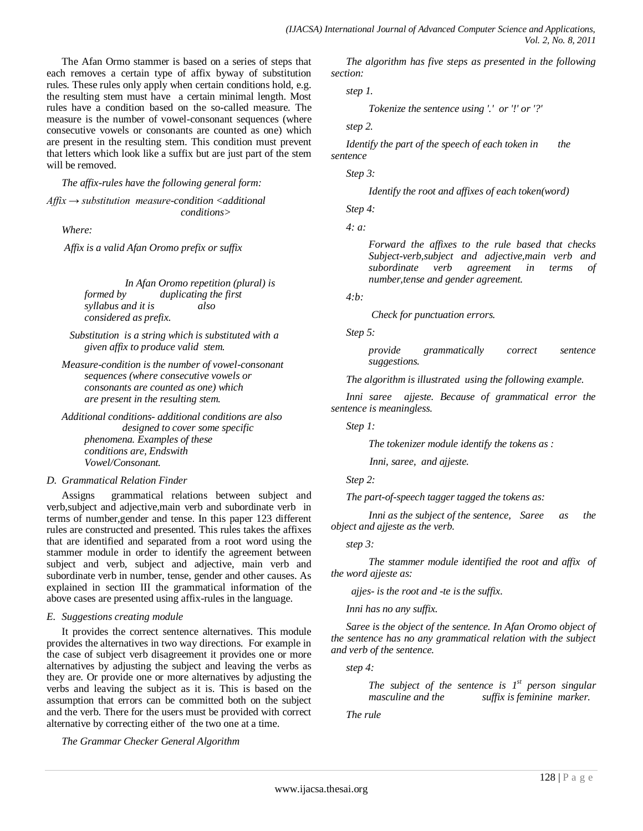The Afan Ormo stammer is based on a series of steps that each removes a certain type of affix byway of substitution rules. These rules only apply when certain conditions hold, e.g. the resulting stem must have a certain minimal length. Most rules have a condition based on the so-called measure. The measure is the number of vowel-consonant sequences (where consecutive vowels or consonants are counted as one) which are present in the resulting stem. This condition must prevent that letters which look like a suffix but are just part of the stem will be removed.

*The affix-rules have the following general form:*

*Affix → substitution measure-condition <additional conditions>*

*Where:*

*Affix is a valid Afan Oromo prefix or suffix*

 *In Afan Oromo repetition (plural) is formed by duplicating the first syllabus and it is considered as prefix.*

 *Substitution is a string which is substituted with a given affix to produce valid stem.*

*Measure-condition is the number of vowel-consonant sequences (where consecutive vowels or consonants are counted as one) which are present in the resulting stem.*

*Additional conditions- additional conditions are also designed to cover some specific phenomena. Examples of these conditions are, Endswith Vowel/Consonant.*

#### *D. Grammatical Relation Finder*

Assigns grammatical relations between subject and verb,subject and adjective,main verb and subordinate verb in terms of number,gender and tense. In this paper 123 different rules are constructed and presented. This rules takes the affixes that are identified and separated from a root word using the stammer module in order to identify the agreement between subject and verb, subject and adjective, main verb and subordinate verb in number, tense, gender and other causes. As explained in section III the grammatical information of the above cases are presented using affix-rules in the language.

#### *E. Suggestions creating module*

It provides the correct sentence alternatives. This module provides the alternatives in two way directions. For example in the case of subject verb disagreement it provides one or more alternatives by adjusting the subject and leaving the verbs as they are. Or provide one or more alternatives by adjusting the verbs and leaving the subject as it is. This is based on the assumption that errors can be committed both on the subject and the verb. There for the users must be provided with correct alternative by correcting either of the two one at a time.

*The Grammar Checker General Algorithm*

*The algorithm has five steps as presented in the following section:*

*step 1.*

*Tokenize the sentence using '.' or '!' or '?'*

*step 2.* 

*Identify the part of the speech of each token in* the *sentence*

*Step 3:*

*Identify the root and affixes of each token(word)*

*Step 4:*

*4: a:*

*Forward the affixes to the rule based that checks Subject-verb,subject and adjective,main verb and subordinate verb agreement in terms of number,tense and gender agreement.*

*4:b:*

*Check for punctuation errors.*

*Step 5:*

*provide grammatically correct sentence suggestions.*

*The algorithm is illustrated using the following example.*

*Inni saree ajjeste. Because of grammatical error the sentence is meaningless.*

*Step 1:*

*The tokenizer module identify the tokens as :* 

 *Inni, saree, and ajjeste.*

*Step 2:*

*The part-of-speech tagger tagged the tokens as:* 

*Inni as the subject of the sentence, Saree as the object and ajjeste as the verb.*

*step 3:*

*The stammer module identified the root and affix of the word ajjeste as:*

 *ajjes- is the root and -te is the suffix.*

*Inni has no any suffix.*

*Saree is the object of the sentence. In Afan Oromo object of the sentence has no any grammatical relation with the subject and verb of the sentence.*

*step 4:*

*The subject of the sentence is 1<sup>st</sup> person singular masculine and the suffix is feminine marker.* 

*The rule*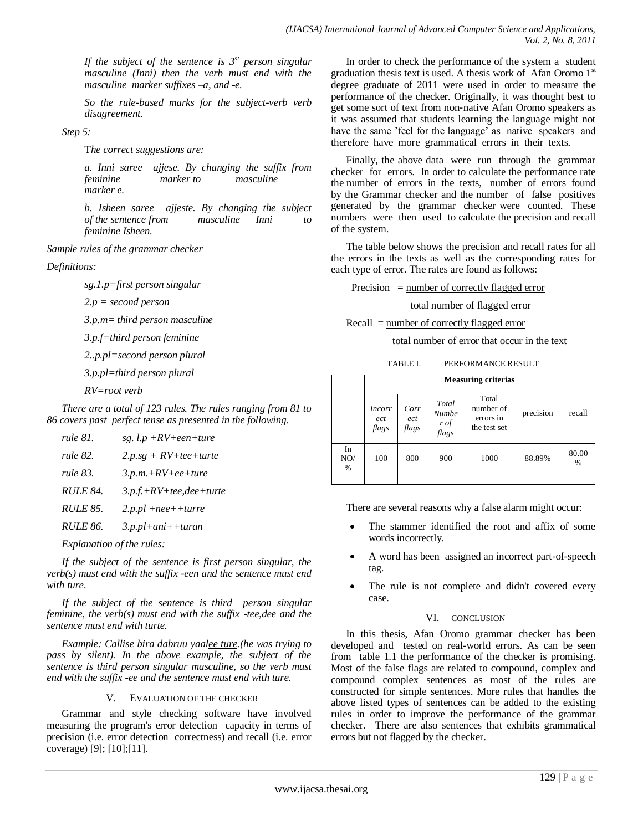*If the subject of the sentence is 3st person singular masculine (Inni) then the verb must end with the masculine marker suffixes –a, and -e.*

*So the rule-based marks for the subject-verb verb disagreement.*

*Step 5:*

T*he correct suggestions are:*

*a. Inni saree ajjese. By changing the suffix from feminine marker to masculine marker e.*

*b. Isheen saree ajjeste. By changing the subject of the sentence from masculine Inni to feminine Isheen.*

*Sample rules of the grammar checker*

*Definitions:*

*sg.1.p=first person singular*

*2.p = second person*

*3.p.m= third person masculine*

*3.p.f=third person feminine*

*2..p.pl=second person plural*

*3.p.pl=third person plural*

*RV=root verb*

*There are a total of 123 rules. The rules ranging from 81 to 86 covers past perfect tense as presented in the following.*

| $3.p.f.+RV+tee,dee+ture$ |
|--------------------------|
|                          |
|                          |
|                          |

*Explanation of the rules:*

*If the subject of the sentence is first person singular, the verb(s) must end with the suffix -een and the sentence must end with ture.*

*If the subject of the sentence is third person singular feminine, the verb(s) must end with the suffix -tee,dee and the sentence must end with turte.*

*Example: Callise bira dabruu yaalee ture.(he was trying to pass by silent). In the above example, the subject of the sentence is third person singular masculine, so the verb must end with the suffix -ee and the sentence must end with ture.*

# V. EVALUATION OF THE CHECKER

Grammar and style checking software have involved measuring the program's error detection capacity in terms of precision (i.e. error detection correctness) and recall (i.e. error coverage) [9]; [10];[11].

In order to check the performance of the system a student graduation thesis text is used. A thesis work of Afan Oromo 1<sup>st</sup> degree graduate of 2011 were used in order to measure the performance of the checker. Originally, it was thought best to get some sort of text from non‐native Afan Oromo speakers as it was assumed that students learning the language might not have the same 'feel for the language' as native speakers and therefore have more grammatical errors in their texts.

Finally, the above data were run through the grammar checker for errors. In order to calculate the performance rate the number of errors in the texts, number of errors found by the Grammar checker and the number of false positives generated by the grammar checker were counted. These numbers were then used to calculate the precision and recall of the system.

The table below shows the precision and recall rates for all the errors in the texts as well as the corresponding rates for each type of error. The rates are found as follows:

Precision  $=$  number of correctly flagged error

total number of flagged error

Recall = number of correctly flagged error

total number of error that occur in the text

| TABLE I. | PERFORMANCE RESULT |
|----------|--------------------|
|          |                    |

|                   | <b>Measuring criterias</b> |                      |                                        |                                                 |           |               |  |
|-------------------|----------------------------|----------------------|----------------------------------------|-------------------------------------------------|-----------|---------------|--|
|                   | Incorr<br>ect<br>flags     | Corr<br>ect<br>flags | Total<br><b>Numbe</b><br>r of<br>flags | Total<br>number of<br>errors in<br>the test set | precision | recall        |  |
| In<br>NO/<br>$\%$ | 100                        | 800                  | 900                                    | 1000                                            | 88.89%    | 80.00<br>$\%$ |  |

There are several reasons why a false alarm might occur:

- The stammer identified the root and affix of some words incorrectly.
- A word has been assigned an incorrect part-of-speech tag.
- The rule is not complete and didn't covered every case.

# VI. CONCLUSION

In this thesis, Afan Oromo grammar checker has been developed and tested on real-world errors. As can be seen from table 1.1 the performance of the checker is promising. Most of the false flags are related to compound, complex and compound complex sentences as most of the rules are constructed for simple sentences. More rules that handles the above listed types of sentences can be added to the existing rules in order to improve the performance of the grammar checker. There are also sentences that exhibits grammatical errors but not flagged by the checker.